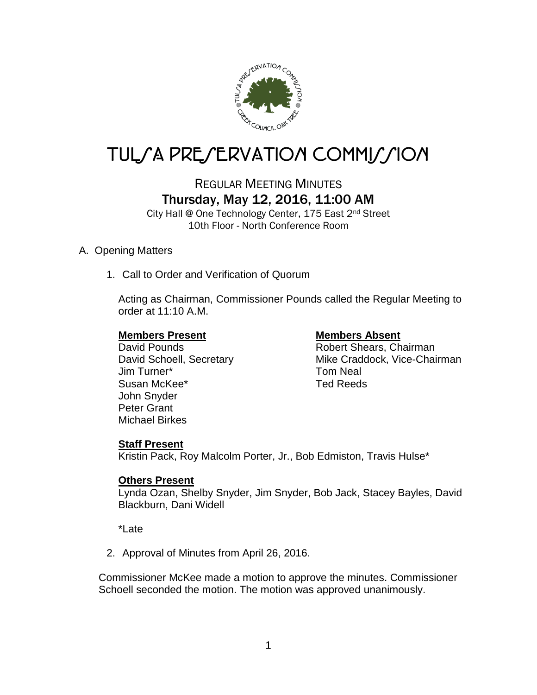

# TUL/A PRE/ERVATION COMMI*J*/ION

REGULAR MEETING MINUTES Thursday, May 12, 2016, 11:00 AM

City Hall @ One Technology Center, 175 East 2nd Street 10th Floor - North Conference Room

# A. Opening Matters

1. Call to Order and Verification of Quorum

Acting as Chairman, Commissioner Pounds called the Regular Meeting to order at 11:10 A.M.

# **Members Present Members Absent**

Jim Turner\* Tom Neal Susan McKee\* Ted Reeds John Snyder Peter Grant Michael Birkes

David Pounds **Robert Shears**, Chairman David Schoell, Secretary Mike Craddock, Vice-Chairman

# **Staff Present**

Kristin Pack, Roy Malcolm Porter, Jr., Bob Edmiston, Travis Hulse\*

# **Others Present**

Lynda Ozan, Shelby Snyder, Jim Snyder, Bob Jack, Stacey Bayles, David Blackburn, Dani Widell

\*Late

2. Approval of Minutes from April 26, 2016.

Commissioner McKee made a motion to approve the minutes. Commissioner Schoell seconded the motion. The motion was approved unanimously.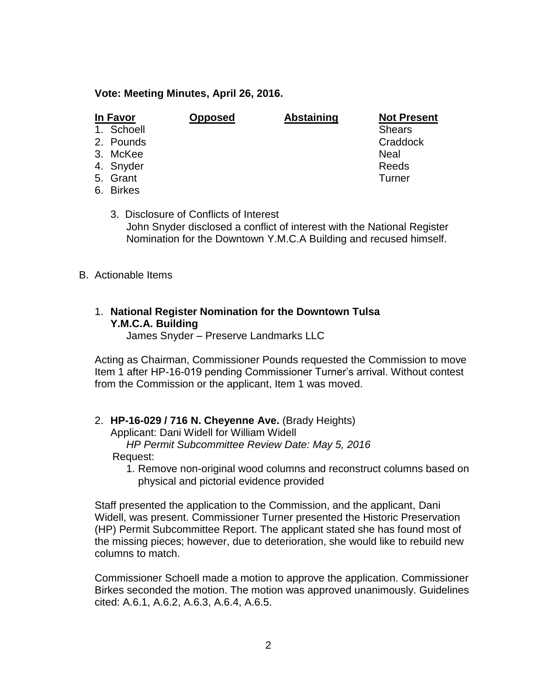#### **Vote: Meeting Minutes, April 26, 2016.**

| In Favor |            | <b>Opposed</b> | <b>Abstaining</b> | <b>Not Present</b> |
|----------|------------|----------------|-------------------|--------------------|
|          | 1. Schoell |                |                   | <b>Shears</b>      |
|          | 2. Pounds  |                |                   | Craddock           |
|          | 3. McKee   |                |                   | Neal               |
|          | 4. Snyder  |                |                   | Reeds              |
|          | 5. Grant   |                |                   | Turner             |
|          | 6. Birkes  |                |                   |                    |

3. Disclosure of Conflicts of Interest John Snyder disclosed a conflict of interest with the National Register Nomination for the Downtown Y.M.C.A Building and recused himself.

B. Actionable Items

# 1. **National Register Nomination for the Downtown Tulsa Y.M.C.A. Building**

James Snyder – Preserve Landmarks LLC

Acting as Chairman, Commissioner Pounds requested the Commission to move Item 1 after HP-16-019 pending Commissioner Turner's arrival. Without contest from the Commission or the applicant, Item 1 was moved.

#### 2. **HP-16-029 / 716 N. Cheyenne Ave.** (Brady Heights)

Applicant: Dani Widell for William Widell *HP Permit Subcommittee Review Date: May 5, 2016*

Request:

1. Remove non-original wood columns and reconstruct columns based on physical and pictorial evidence provided

Staff presented the application to the Commission, and the applicant, Dani Widell, was present. Commissioner Turner presented the Historic Preservation (HP) Permit Subcommittee Report. The applicant stated she has found most of the missing pieces; however, due to deterioration, she would like to rebuild new columns to match.

Commissioner Schoell made a motion to approve the application. Commissioner Birkes seconded the motion. The motion was approved unanimously. Guidelines cited: A.6.1, A.6.2, A.6.3, A.6.4, A.6.5.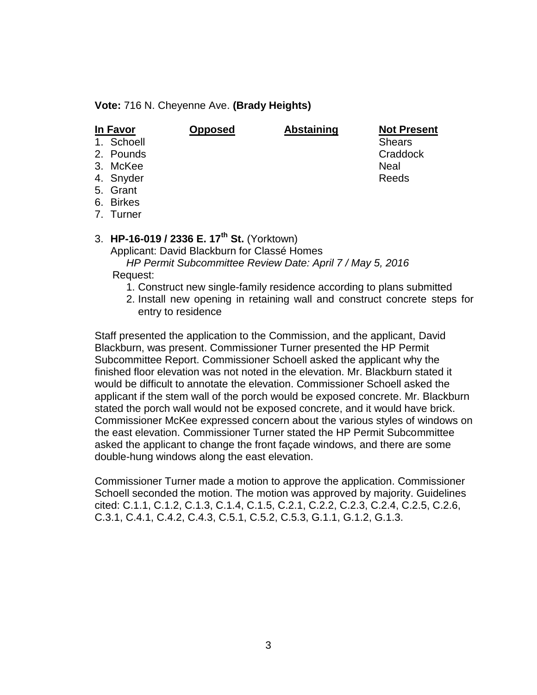**Vote:** 716 N. Cheyenne Ave. **(Brady Heights)**

| In Favor |            | <b>Opposed</b> | <b>Abstaining</b> | <b>Not Present</b> |
|----------|------------|----------------|-------------------|--------------------|
|          | 1. Schoell |                |                   | <b>Shears</b>      |
|          | 2. Pounds  |                |                   | Craddock           |
|          | 3. McKee   |                |                   | <b>Neal</b>        |
|          | 4. Snyder  |                |                   | Reeds              |
|          | 5. Grant   |                |                   |                    |
|          | 6. Birkes  |                |                   |                    |

7. Turner

# 3. **HP-16-019 / 2336 E. 17th St.** (Yorktown)

Applicant: David Blackburn for Classé Homes

 *HP Permit Subcommittee Review Date: April 7 / May 5, 2016* Request:

- - 1. Construct new single-family residence according to plans submitted
	- 2. Install new opening in retaining wall and construct concrete steps for entry to residence

Staff presented the application to the Commission, and the applicant, David Blackburn, was present. Commissioner Turner presented the HP Permit Subcommittee Report. Commissioner Schoell asked the applicant why the finished floor elevation was not noted in the elevation. Mr. Blackburn stated it would be difficult to annotate the elevation. Commissioner Schoell asked the applicant if the stem wall of the porch would be exposed concrete. Mr. Blackburn stated the porch wall would not be exposed concrete, and it would have brick. Commissioner McKee expressed concern about the various styles of windows on the east elevation. Commissioner Turner stated the HP Permit Subcommittee asked the applicant to change the front façade windows, and there are some double-hung windows along the east elevation.

Commissioner Turner made a motion to approve the application. Commissioner Schoell seconded the motion. The motion was approved by majority. Guidelines cited: C.1.1, C.1.2, C.1.3, C.1.4, C.1.5, C.2.1, C.2.2, C.2.3, C.2.4, C.2.5, C.2.6, C.3.1, C.4.1, C.4.2, C.4.3, C.5.1, C.5.2, C.5.3, G.1.1, G.1.2, G.1.3.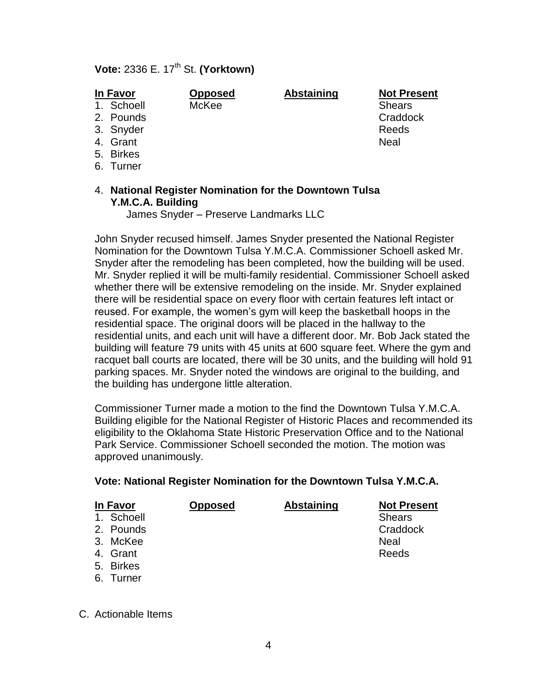# **Vote:** 2336 E. 17th St. **(Yorktown)**

| In Favor |            | <b>Opposed</b> | <b>Abstaining</b> | <b>Not Present</b> |
|----------|------------|----------------|-------------------|--------------------|
|          | 1. Schoell | McKee          |                   | <b>Shears</b>      |
|          | 2. Pounds  |                |                   | Craddock           |
|          | 3. Snyder  |                |                   | Reeds              |
|          | 4. Grant   |                |                   | <b>Neal</b>        |
|          | 5. Birkes  |                |                   |                    |
|          | 6. Turner  |                |                   |                    |
|          |            |                |                   |                    |

### 4. **National Register Nomination for the Downtown Tulsa Y.M.C.A. Building**

James Snyder – Preserve Landmarks LLC

John Snyder recused himself. James Snyder presented the National Register Nomination for the Downtown Tulsa Y.M.C.A. Commissioner Schoell asked Mr. Snyder after the remodeling has been completed, how the building will be used. Mr. Snyder replied it will be multi-family residential. Commissioner Schoell asked whether there will be extensive remodeling on the inside. Mr. Snyder explained there will be residential space on every floor with certain features left intact or reused. For example, the women's gym will keep the basketball hoops in the residential space. The original doors will be placed in the hallway to the residential units, and each unit will have a different door. Mr. Bob Jack stated the building will feature 79 units with 45 units at 600 square feet. Where the gym and racquet ball courts are located, there will be 30 units, and the building will hold 91 parking spaces. Mr. Snyder noted the windows are original to the building, and the building has undergone little alteration.

Commissioner Turner made a motion to the find the Downtown Tulsa Y.M.C.A. Building eligible for the National Register of Historic Places and recommended its eligibility to the Oklahoma State Historic Preservation Office and to the National Park Service. Commissioner Schoell seconded the motion. The motion was approved unanimously.

#### **Vote: National Register Nomination for the Downtown Tulsa Y.M.C.A.**

| <b>In Favor</b> | <b>Opposed</b> | <b>Abstaining</b> | <b>Not Present</b> |
|-----------------|----------------|-------------------|--------------------|
| 1. Schoell      |                |                   | <b>Shears</b>      |
| 2. Pounds       |                |                   | Craddock           |
| 3. McKee        |                |                   | Neal               |
| 4. Grant        |                |                   | Reeds              |
| 5. Birkes       |                |                   |                    |
|                 |                |                   |                    |

6. Turner

C. Actionable Items